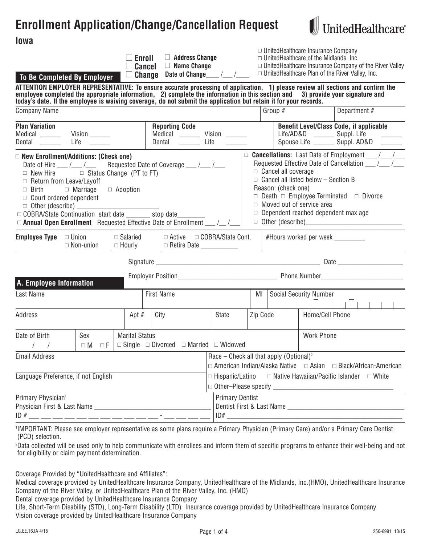# **Enrollment Application/Change/Cancellation Request**



| To Be Completed By Employer                                                                                                                                                                                                                                                                                                                                                                                                                           | $\Box$ Address Change<br>Enroll<br>$\Box$ Name Change<br><b>Cancel</b><br>Date of Change<br><b>Change</b>                                                                                                                |                                                        |                   |                                                   | $\Box$ UnitedHealthcare Insurance Company<br>$\Box$ UnitedHealthcare of the Midlands, Inc.                                   | $\Box$ UnitedHealthcare Insurance Company of the River Valley<br>$\Box$ UnitedHealthcare Plan of the River Valley, Inc. |  |
|-------------------------------------------------------------------------------------------------------------------------------------------------------------------------------------------------------------------------------------------------------------------------------------------------------------------------------------------------------------------------------------------------------------------------------------------------------|--------------------------------------------------------------------------------------------------------------------------------------------------------------------------------------------------------------------------|--------------------------------------------------------|-------------------|---------------------------------------------------|------------------------------------------------------------------------------------------------------------------------------|-------------------------------------------------------------------------------------------------------------------------|--|
| ATTENTION EMPLOYER REPRESENTATIVE: To ensure accurate processing of application, 1) please review all sections and confirm the<br>employee completed the appropriate information, 2) complete the information in this section and 3) provide your signature and today's date. If the employee is waiving coverage, do not submit the application but retain it f                                                                                      |                                                                                                                                                                                                                          |                                                        |                   |                                                   |                                                                                                                              |                                                                                                                         |  |
| <b>Company Name</b>                                                                                                                                                                                                                                                                                                                                                                                                                                   |                                                                                                                                                                                                                          |                                                        |                   | Group $#$                                         |                                                                                                                              | Department $#$                                                                                                          |  |
| <b>Plan Variation</b><br>Medical ______<br>Vision _______<br>Life $\qquad \qquad$<br>Dental                                                                                                                                                                                                                                                                                                                                                           | <b>Benefit Level/Class Code, if applicable</b><br>Life/AD&D _________ Suppl. Life<br>Medical ________ Vision ______<br>Spouse Life ________ Suppl. AD&D<br>$\rule{1em}{0.15mm}$ Life                                     |                                                        |                   |                                                   |                                                                                                                              |                                                                                                                         |  |
| $\Box$ New Enrollment/Additions: (Check one)<br>Date of Hire ___ /___ /___ Requested Date of Coverage ___ /___ /___<br>$\Box$ New Hire $\Box$ Status Change (PT to FT)<br>$\Box$ Return from Leave/Layoff<br>$\Box$ Adoption<br>$\Box$ Birth<br>$\Box$ Marriage<br>$\Box$ Court ordered dependent<br>□ COBRA/State Continuation start date _______ stop date _______<br>$\Box$ Annual Open Enrollment Requested Effective Date of Enrollment $\Box$ / |                                                                                                                                                                                                                          |                                                        |                   | $\Box$ Cancel all coverage<br>Reason: (check one) | $\Box$ Cancel all listed below - Section B<br>$\Box$ Moved out of service area<br>$\Box$ Dependent reached dependent max age | □ Cancellations: Last Date of Employment __/_/_/<br>$\Box$ Death $\Box$ Employee Terminated $\Box$ Divorce              |  |
| $\Box$ Salaried<br><b>Employee Type</b> $\Box$ Union<br>$\Box$ Non-union<br>$\Box$ Hourly                                                                                                                                                                                                                                                                                                                                                             | $\Box$ Active<br>□ Retire Date ___________                                                                                                                                                                               | #Hours worked per week ________<br>□ COBRA/State Cont. |                   |                                                   |                                                                                                                              |                                                                                                                         |  |
|                                                                                                                                                                                                                                                                                                                                                                                                                                                       |                                                                                                                                                                                                                          |                                                        |                   |                                                   |                                                                                                                              |                                                                                                                         |  |
|                                                                                                                                                                                                                                                                                                                                                                                                                                                       |                                                                                                                                                                                                                          |                                                        |                   |                                                   |                                                                                                                              |                                                                                                                         |  |
| A. Employee Information<br>Last Name                                                                                                                                                                                                                                                                                                                                                                                                                  | <b>First Name</b>                                                                                                                                                                                                        |                                                        |                   |                                                   | <b>Social Security Number</b>                                                                                                |                                                                                                                         |  |
| Address<br>Apt $#$                                                                                                                                                                                                                                                                                                                                                                                                                                    | City                                                                                                                                                                                                                     | <b>State</b>                                           | Zip Code          |                                                   | Home/Cell Phone                                                                                                              |                                                                                                                         |  |
| Date of Birth<br>Sex<br><b>Marital Status</b><br>$\Box M$<br>ΠF                                                                                                                                                                                                                                                                                                                                                                                       | $\Box$ Single $\Box$ Divorced $\Box$ Married $\Box$ Widowed                                                                                                                                                              |                                                        | <b>Work Phone</b> |                                                   |                                                                                                                              |                                                                                                                         |  |
| <b>Email Address</b><br>Language Preference, if not English                                                                                                                                                                                                                                                                                                                                                                                           | Race – Check all that apply (Optional) <sup>2</sup><br>$\Box$ American Indian/Alaska Native $\Box$ Asian $\Box$ Black/African-American<br>$\Box$ Hispanic/Latino<br>$\Box$ Native Hawaiian/Pacific Islander $\Box$ White |                                                        |                   |                                                   |                                                                                                                              |                                                                                                                         |  |
|                                                                                                                                                                                                                                                                                                                                                                                                                                                       |                                                                                                                                                                                                                          |                                                        |                   |                                                   |                                                                                                                              |                                                                                                                         |  |
| Primary Physician <sup>1</sup>                                                                                                                                                                                                                                                                                                                                                                                                                        |                                                                                                                                                                                                                          | Primary Dentist <sup>1</sup>                           |                   |                                                   |                                                                                                                              |                                                                                                                         |  |

1 IMPORTANT: Please see employer representative as some plans require a Primary Physician (Primary Care) and/or a Primary Care Dentist (PCD) selection.

2 Data collected will be used only to help communicate with enrollees and inform them of specific programs to enhance their well-being and not for eligibility or claim payment determination.

Coverage Provided by "UnitedHealthcare and Affiliates":

Medical coverage provided by UnitedHealthcare Insurance Company, UnitedHealthcare of the Midlands, Inc.(HMO), UnitedHealthcare Insurance Company of the River Valley, or UnitedHealthcare Plan of the River Valley, Inc. (HMO)

Dental coverage provided by UnitedHealthcare Insurance Company

Life, Short-Term Disability (STD), Long-Term Disability (LTD) Insurance coverage provided by UnitedHealthcare Insurance Company Vision coverage provided by UnitedHealthcare Insurance Company

UnitedHealthcare®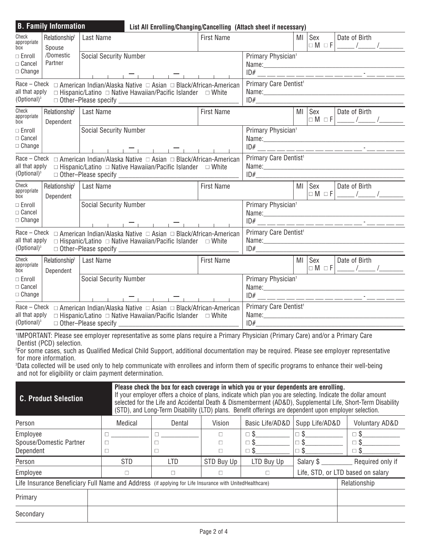| Check<br>appropriate<br>box                                                                                                                                                                                                                                                                                                                                                                                                                                                                                                                                          | Relationship <sup>2</sup><br>Spouse    | Last Name |                                                      |                                                                 | <b>First Name</b>                        |                                                                           |                                     | Sex<br>$\Box M \Box F$    |  | Date of Birth                             |                                                           |
|----------------------------------------------------------------------------------------------------------------------------------------------------------------------------------------------------------------------------------------------------------------------------------------------------------------------------------------------------------------------------------------------------------------------------------------------------------------------------------------------------------------------------------------------------------------------|----------------------------------------|-----------|------------------------------------------------------|-----------------------------------------------------------------|------------------------------------------|---------------------------------------------------------------------------|-------------------------------------|---------------------------|--|-------------------------------------------|-----------------------------------------------------------|
| $\Box$ Enroll<br>$\Box$ Cancel<br>$\Box$ Change                                                                                                                                                                                                                                                                                                                                                                                                                                                                                                                      | /Domestic<br>Partner                   |           | <b>Social Security Number</b>                        |                                                                 | Primary Physician <sup>1</sup>           |                                                                           |                                     |                           |  |                                           |                                                           |
| ______ <del>_</del> ____ <del>_</del> ______<br>all that apply<br>$\Box$ Hispanic/Latino $\Box$ Native Hawaiian/Pacific Islander $\Box$ White<br>(Optional) $3$                                                                                                                                                                                                                                                                                                                                                                                                      |                                        |           |                                                      | Primary Care Dentist <sup>1</sup>                               |                                          |                                                                           |                                     |                           |  |                                           |                                                           |
| Check<br>appropriate<br>box                                                                                                                                                                                                                                                                                                                                                                                                                                                                                                                                          | Relationship <sup>2</sup><br>Dependent | Last Name | <b>First Name</b>                                    |                                                                 |                                          |                                                                           |                                     | MI Sex                    |  | Date of Birth                             |                                                           |
| $\Box$ Enroll<br>$\Box$ Cancel<br>$\Box$ Change                                                                                                                                                                                                                                                                                                                                                                                                                                                                                                                      |                                        |           | <b>Social Security Number</b>                        |                                                                 |                                          |                                                                           | Primary Physician <sup>1</sup>      |                           |  |                                           |                                                           |
| ___________________<br>all that apply<br>$\Box$ Hispanic/Latino $\Box$ Native Hawaiian/Pacific Islander $\Box$ White<br>$(Optional)^3$                                                                                                                                                                                                                                                                                                                                                                                                                               |                                        |           |                                                      |                                                                 | Primary Care Dentist <sup>1</sup><br>ID# |                                                                           |                                     |                           |  |                                           |                                                           |
| Check<br>Relationship <sup>2</sup><br>appropriate<br>Dependent<br>box                                                                                                                                                                                                                                                                                                                                                                                                                                                                                                |                                        | Last Name |                                                      |                                                                 | <b>First Name</b>                        |                                                                           |                                     | MI Sex                    |  | Date of Birth                             | $\Box M \Box F$ $\Box$ $\Box$ $\Box$ $\Box$ $\Box$ $\Box$ |
| $\Box$ Enroll<br>$\Box$ Cancel<br>$\Box$ Change                                                                                                                                                                                                                                                                                                                                                                                                                                                                                                                      |                                        |           | <b>Social Security Number</b><br>___________________ |                                                                 |                                          | Primary Physician <sup>1</sup>                                            |                                     |                           |  |                                           |                                                           |
| Race – Check □ American Indian/Alaska Native □ Asian □ Black/African-American<br>all that apply<br>$\Box$ Hispanic/Latino $\Box$ Native Hawaiian/Pacific Islander $\Box$ White<br>$(Optional)^3$<br>$\Box$ Other-Please specify $\Box$                                                                                                                                                                                                                                                                                                                               |                                        |           |                                                      |                                                                 | Primary Care Dentist <sup>1</sup>        |                                                                           |                                     |                           |  |                                           |                                                           |
| Check<br>appropriate<br>box                                                                                                                                                                                                                                                                                                                                                                                                                                                                                                                                          | Relationship <sup>2</sup><br>Dependent | Last Name |                                                      |                                                                 | <b>First Name</b>                        |                                                                           |                                     | MI Sex<br>$\Box M \Box F$ |  | Date of Birth                             | $\frac{1}{\sqrt{2}}$                                      |
| $\Box$ Enroll<br>$\Box$ Cancel<br>$\Box$ Change                                                                                                                                                                                                                                                                                                                                                                                                                                                                                                                      |                                        |           | <b>Social Security Number</b>                        |                                                                 |                                          | Primary Physician <sup>1</sup><br>ID# __ __ __ __ __ __ __ __ __ __ __ __ |                                     |                           |  |                                           |                                                           |
| ______ <del>_</del> ___ <del>_</del> _______<br>Race – Check □ American Indian/Alaska Native □ Asian □ Black/African-American<br>all that apply<br>$\Box$ Hispanic/Latino $\Box$ Native Hawaiian/Pacific Islander $\Box$ White<br>$(Optional)^3$<br>$\Box$ Other-Please specify                                                                                                                                                                                                                                                                                      |                                        |           |                                                      |                                                                 | Primary Care Dentist <sup>1</sup><br>ID# |                                                                           |                                     |                           |  |                                           |                                                           |
| <sup>1</sup> IMPORTANT: Please see employer representative as some plans require a Primary Physician (Primary Care) and/or a Primary Care<br>Dentist (PCD) selection.<br><sup>2</sup> For some cases, such as Qualified Medical Child Support, additional documentation may be required. Please see employer representative<br>for more information.<br><sup>3</sup> Data collected will be used only to help communicate with enrollees and inform them of specific programs to enhance their well-being<br>and not for eligibility or claim payment determination. |                                        |           |                                                      |                                                                 |                                          |                                                                           |                                     |                           |  |                                           |                                                           |
| Please check the box for each coverage in which you or your dependents are enrolling.<br>If your employer offers a choice of plans, indicate which plan you are selecting. Indicate the dollar amount<br><b>C. Product Selection</b><br>selected for the Life and Accidental Death & Dismemberment (AD&D), Supplemental Life, Short-Term Disability<br>(STD), and Long-Term Disability (LTD) plans. Benefit offerings are dependent upon employer selection.                                                                                                         |                                        |           |                                                      |                                                                 |                                          |                                                                           |                                     |                           |  |                                           |                                                           |
| Person                                                                                                                                                                                                                                                                                                                                                                                                                                                                                                                                                               |                                        |           | Medical                                              | Dental                                                          | Vision                                   | Basic Life/AD&D                                                           |                                     | Supp Life/AD&D            |  |                                           | <b>Voluntary AD&amp;D</b>                                 |
| Employee<br>Dependent                                                                                                                                                                                                                                                                                                                                                                                                                                                                                                                                                | Spouse/Domestic Partner                |           | $\Box$<br>$\Box$<br>$\Box$                           | $\Box$<br>$\Box$<br>$\Box$                                      | $\Box$<br>$\Box$<br>$\Box$               | $\square$<br>$\square$ \$<br>$\square$ \$                                 | $\square$ \$<br>$\Box$ \$<br>$\Box$ |                           |  | $\square$<br>$\square$ \$<br>$\square$ \$ |                                                           |
| Person                                                                                                                                                                                                                                                                                                                                                                                                                                                                                                                                                               |                                        |           | <b>STD</b>                                           | <b>LTD</b>                                                      | STD Buy Up                               | LTD Buy Up                                                                |                                     | Salary \$                 |  |                                           | Required only if                                          |
| Employee                                                                                                                                                                                                                                                                                                                                                                                                                                                                                                                                                             |                                        |           | $\Box$                                               | Life, STD, or LTD based on salary<br>$\Box$<br>$\Box$<br>$\Box$ |                                          |                                                                           |                                     |                           |  |                                           |                                                           |
| Life Insurance Beneficiary Full Name and Address (if applying for Life Insurance with UnitedHealthcare)<br>Relationship                                                                                                                                                                                                                                                                                                                                                                                                                                              |                                        |           |                                                      |                                                                 |                                          |                                                                           |                                     |                           |  |                                           |                                                           |
| Primary                                                                                                                                                                                                                                                                                                                                                                                                                                                                                                                                                              |                                        |           |                                                      |                                                                 |                                          |                                                                           |                                     |                           |  |                                           |                                                           |
| Secondary                                                                                                                                                                                                                                                                                                                                                                                                                                                                                                                                                            |                                        |           |                                                      |                                                                 |                                          |                                                                           |                                     |                           |  |                                           |                                                           |

**List All Enrolling/Changing/Cancelling (Attach sheet if necessary)**

**B. Family Information**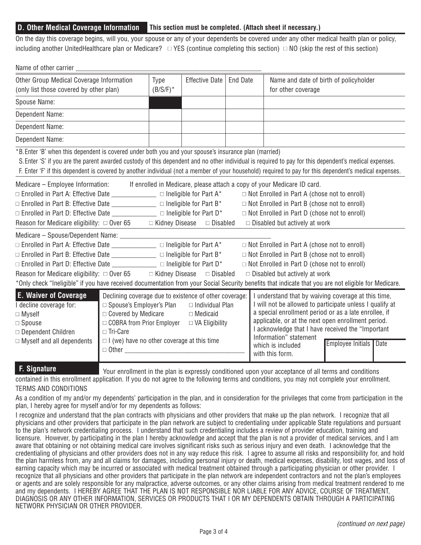## **D. Other Medical Coverage Information This section must be completed. (Attach sheet if necessary.)**

On the day this coverage begins, will you, your spouse or any of your dependents be covered under any other medical health plan or policy, including another UnitedHealthcare plan or Medicare?  $\Box$  YES (continue completing this section)  $\Box$  NO (skip the rest of this section)

| Name of other carrier                                                                                                                                                                                                                                                                                                                                                                                                                                                                                                                                                                               |                                                                                                                                                                                                                                                           |                     |                                                                    |                 |                                                                                                                                                                                                                                                                                           |                                                                                    |
|-----------------------------------------------------------------------------------------------------------------------------------------------------------------------------------------------------------------------------------------------------------------------------------------------------------------------------------------------------------------------------------------------------------------------------------------------------------------------------------------------------------------------------------------------------------------------------------------------------|-----------------------------------------------------------------------------------------------------------------------------------------------------------------------------------------------------------------------------------------------------------|---------------------|--------------------------------------------------------------------|-----------------|-------------------------------------------------------------------------------------------------------------------------------------------------------------------------------------------------------------------------------------------------------------------------------------------|------------------------------------------------------------------------------------|
| Other Group Medical Coverage Information<br>(only list those covered by other plan)                                                                                                                                                                                                                                                                                                                                                                                                                                                                                                                 |                                                                                                                                                                                                                                                           | Type<br>$(B/S/F)^*$ | <b>Effective Date</b>                                              | <b>End Date</b> | Name and date of birth of policyholder<br>for other coverage                                                                                                                                                                                                                              |                                                                                    |
| Spouse Name:                                                                                                                                                                                                                                                                                                                                                                                                                                                                                                                                                                                        |                                                                                                                                                                                                                                                           |                     |                                                                    |                 |                                                                                                                                                                                                                                                                                           |                                                                                    |
| Dependent Name:                                                                                                                                                                                                                                                                                                                                                                                                                                                                                                                                                                                     |                                                                                                                                                                                                                                                           |                     |                                                                    |                 |                                                                                                                                                                                                                                                                                           |                                                                                    |
| Dependent Name:                                                                                                                                                                                                                                                                                                                                                                                                                                                                                                                                                                                     |                                                                                                                                                                                                                                                           |                     |                                                                    |                 |                                                                                                                                                                                                                                                                                           |                                                                                    |
| Dependent Name:                                                                                                                                                                                                                                                                                                                                                                                                                                                                                                                                                                                     |                                                                                                                                                                                                                                                           |                     |                                                                    |                 |                                                                                                                                                                                                                                                                                           |                                                                                    |
| *B. Enter 'B' when this dependent is covered under both you and your spouse's insurance plan (married)<br>S. Enter 'S' if you are the parent awarded custody of this dependent and no other individual is required to pay for this dependent's medical expenses.<br>F. Enter 'F' if this dependent is covered by another individual (not a member of your household) required to pay for this dependent's medical expenses.                                                                                                                                                                         |                                                                                                                                                                                                                                                           |                     |                                                                    |                 |                                                                                                                                                                                                                                                                                           |                                                                                    |
| Medicare – Employee Information: If enrolled in Medicare, please attach a copy of your Medicare ID card.<br>$\Box$ Enrolled in Part A: Effective Date _______________ $\Box$ Ineligible for Part A*<br>$\Box$ Not Enrolled in Part A (chose not to enroll)<br>$\Box$ Not Enrolled in Part B (chose not to enroll)<br>$\Box$ Enrolled in Part D: Effective Date ________________ $\Box$ Ineligible for Part D*<br>$\Box$ Not Enrolled in Part D (chose not to enroll)<br>Reason for Medicare eligibility: $\Box$ Over 65 $\Box$ Kidney Disease<br>□ Disabled<br>$\Box$ Disabled but actively at work |                                                                                                                                                                                                                                                           |                     |                                                                    |                 |                                                                                                                                                                                                                                                                                           |                                                                                    |
| Medicare - Spouse/Dependent Name: _______________<br>$\Box$ Enrolled in Part B: Effective Date _______________ $\Box$ Ineligible for Part B*<br>$\Box$ Enrolled in Part D: Effective Date ________________ $\Box$ Ineligible for Part D*<br>Reason for Medicare eligibility: $\Box$ Over 65 $\Box$ Kidney Disease<br>*Only check "Ineligible" if you have received documentation from your Social Security benefits that indicate that you are not eligible for Medicare.                                                                                                                           |                                                                                                                                                                                                                                                           |                     | $\Box$ Disabled                                                    |                 | $\Box$ Not Enrolled in Part A (chose not to enroll)<br>$\Box$ Not Enrolled in Part B (chose not to enroll)<br>$\Box$ Not Enrolled in Part D (chose not to enroll)<br>$\Box$ Disabled but actively at work                                                                                 |                                                                                    |
| <b>E. Waiver of Coverage</b><br>I decline coverage for:<br>$\Box$ Myself<br>$\Box$ Spouse<br>□ Dependent Children<br>$\Box$ Myself and all dependents                                                                                                                                                                                                                                                                                                                                                                                                                                               | Declining coverage due to existence of other coverage:<br>□ Spouse's Employer's Plan<br>$\Box$ Covered by Medicare<br>□ COBRA from Prior Employer<br>□ Tri-Care<br>$\Box$ I (we) have no other coverage at this time<br>□ Other _________________________ |                     | $\Box$ Individual Plan<br>$\Box$ Medicaid<br>$\Box$ VA Eligibility |                 | I understand that by waiving coverage at this time,<br>a special enrollment period or as a late enrollee, if<br>applicable, or at the next open enrollment period.<br>I acknowledge that I have received the "Important<br>Information" statement<br>which is included<br>with this form. | I will not be allowed to participate unless I qualify at<br>Employee Initials Date |

**F. Signature** Your enrollment in the plan is expressly conditioned upon your acceptance of all terms and conditions

contained in this enrollment application. If you do not agree to the following terms and conditions, you may not complete your enrollment.

#### TERMS AND CONDITIONS

As a condition of my and/or my dependents' participation in the plan, and in consideration for the privileges that come from participation in the plan, I hereby agree for myself and/or for my dependents as follows:

I recognize and understand that the plan contracts with physicians and other providers that make up the plan network. I recognize that all physicians and other providers that participate in the plan network are subject to credentialing under applicable State regulations and pursuant to the plan's network credentialing process. I understand that such credentialing includes a review of provider education, training and licensure. However, by participating in the plan I hereby acknowledge and accept that the plan is not a provider of medical services, and I am aware that obtaining or not obtaining medical care involves significant risks such as serious injury and even death. I acknowledge that the credentialing of physicians and other providers does not in any way reduce this risk. I agree to assume all risks and responsibility for, and hold the plan harmless from, any and all claims for damages, including personal injury or death, medical expenses, disability, lost wages, and loss of earning capacity which may be incurred or associated with medical treatment obtained through a participating physician or other provider. I recognize that all physicians and other providers that participate in the plan network are independent contractors and not the plan's employees or agents and are solely responsible for any malpractice, adverse outcomes, or any other claims arising from medical treatment rendered to me and my dependents. I HEREBY AGREE THAT THE PLAN IS NOT RESPONSIBLE NOR LIABLE FOR ANY ADVICE, COURSE OF TREATMENT, DIAGNOSIS OR ANY OTHER INFORMATION, SERVICES OR PRODUCTS THAT I OR MY DEPENDENTS OBTAIN THROUGH A PARTICIPATING NETWORK PHYSICIAN OR OTHER PROVIDER.